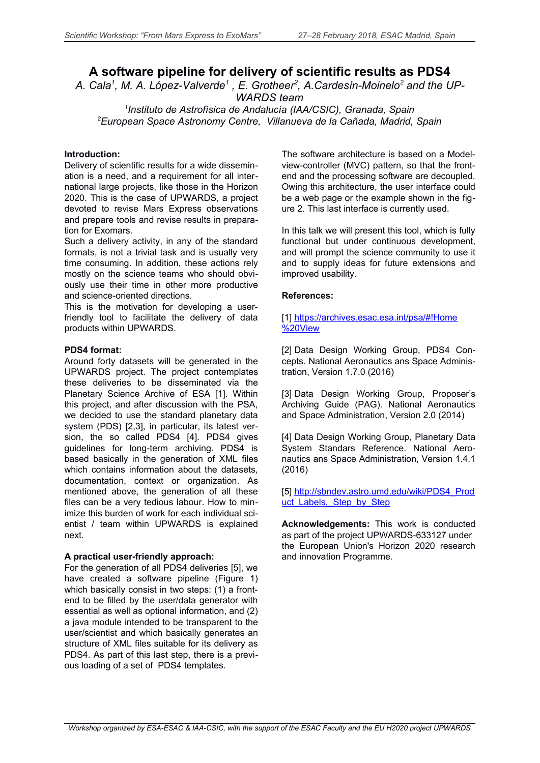# **A software pipeline for delivery of scientific results as PDS4**

*A. Cala<sup>1</sup> , M. A. López-Valverde<sup>1</sup> , E. Grotheer<sup>2</sup> , A.Cardesín-Moinelo<sup>2</sup> and the UP-WARDS team*

*1 Instituto de Astrofísica de Andalucía (IAA/CSIC), Granada, Spain <sup>2</sup>European Space Astronomy Centre, Villanueva de la Cañada, Madrid, Spain*

## **Introduction:**

Delivery of scientific results for a wide dissemination is a need, and a requirement for all international large projects, like those in the Horizon 2020. This is the case of UPWARDS, a project devoted to revise Mars Express observations and prepare tools and revise results in preparation for Exomars.

Such a delivery activity, in any of the standard formats, is not a trivial task and is usually very time consuming. In addition, these actions rely mostly on the science teams who should obviously use their time in other more productive and science-oriented directions.

This is the motivation for developing a userfriendly tool to facilitate the delivery of data products within UPWARDS.

### **PDS4 format:**

Around forty datasets will be generated in the UPWARDS project. The project contemplates these deliveries to be disseminated via the Planetary Science Archive of ESA [1]. Within this project, and after discussion with the PSA, we decided to use the standard planetary data system (PDS) [2,3], in particular, its latest version, the so called PDS4 [4]. PDS4 gives guidelines for long-term archiving. PDS4 is based basically in the generation of XML files which contains information about the datasets, documentation, context or organization. As mentioned above, the generation of all these files can be a very tedious labour. How to minimize this burden of work for each individual scientist / team within UPWARDS is explained next.

## **A practical user-friendly approach:**

For the generation of all PDS4 deliveries [5], we have created a software pipeline (Figure 1) which basically consist in two steps: (1) a frontend to be filled by the user/data generator with essential as well as optional information, and (2) a java module intended to be transparent to the user/scientist and which basically generates an structure of XML files suitable for its delivery as PDS4. As part of this last step, there is a previous loading of a set of PDS4 templates.

The software architecture is based on a Modelview-controller (MVC) pattern, so that the frontend and the processing software are decoupled. Owing this architecture, the user interface could be a web page or the example shown in the figure 2. This last interface is currently used.

In this talk we will present this tool, which is fully functional but under continuous development, and will prompt the science community to use it and to supply ideas for future extensions and improved usability.

### **References:**

#### [1] <https://archives.esac.esa.int/psa/#!Home> [%20View](https://archives.esac.esa.int/psa/#!Home%20View)

[2] Data Design Working Group, PDS4 Concepts. National Aeronautics ans Space Administration, Version 1.7.0 (2016)

[3] Data Design Working Group, Proposer's Archiving Guide (PAG). National Aeronautics and Space Administration, Version 2.0 (2014)

[4] Data Design Working Group, Planetary Data System Standars Reference. National Aeronautics ans Space Administration, Version 1.4.1 (2016)

[5] [http://sbndev.astro.umd.edu/wiki/PDS4\\_Prod](http://sbndev.astro.umd.edu/wiki/PDS4_Product_Labels,_Step_by_Step) uct Labels, Step by Step

**Acknowledgements:** This work is conducted as part of the project UPWARDS-633127 under the European Union's Horizon 2020 research and innovation Programme.